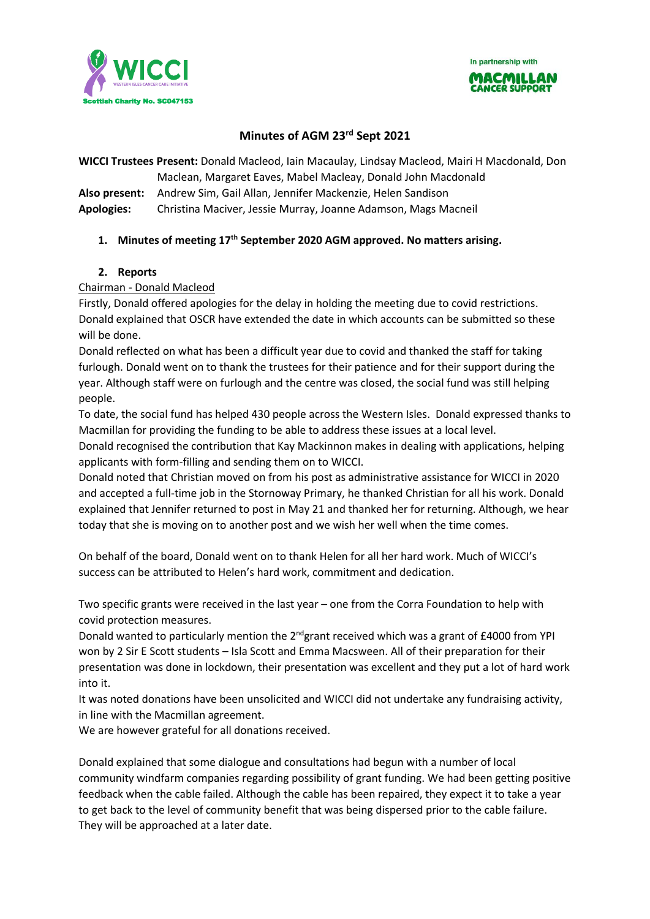In partnership with





## **Minutes of AGM 23rd Sept 2021**

**WICCI Trustees Present:** Donald Macleod, Iain Macaulay, Lindsay Macleod, Mairi H Macdonald, Don Maclean, Margaret Eaves, Mabel Macleay, Donald John Macdonald

**Also present:** Andrew Sim, Gail Allan, Jennifer Mackenzie, Helen Sandison

**Apologies:** Christina Maciver, Jessie Murray, Joanne Adamson, Mags Macneil

## **1. Minutes of meeting 17th September 2020 AGM approved. No matters arising.**

#### **2. Reports**

#### Chairman - Donald Macleod

Firstly, Donald offered apologies for the delay in holding the meeting due to covid restrictions. Donald explained that OSCR have extended the date in which accounts can be submitted so these will be done.

Donald reflected on what has been a difficult year due to covid and thanked the staff for taking furlough. Donald went on to thank the trustees for their patience and for their support during the year. Although staff were on furlough and the centre was closed, the social fund was still helping people.

To date, the social fund has helped 430 people across the Western Isles. Donald expressed thanks to Macmillan for providing the funding to be able to address these issues at a local level.

Donald recognised the contribution that Kay Mackinnon makes in dealing with applications, helping applicants with form-filling and sending them on to WICCI.

Donald noted that Christian moved on from his post as administrative assistance for WICCI in 2020 and accepted a full-time job in the Stornoway Primary, he thanked Christian for all his work. Donald explained that Jennifer returned to post in May 21 and thanked her for returning. Although, we hear today that she is moving on to another post and we wish her well when the time comes.

On behalf of the board, Donald went on to thank Helen for all her hard work. Much of WICCI's success can be attributed to Helen's hard work, commitment and dedication.

Two specific grants were received in the last year – one from the Corra Foundation to help with covid protection measures.

Donald wanted to particularly mention the 2<sup>nd</sup>grant received which was a grant of £4000 from YPI won by 2 Sir E Scott students – Isla Scott and Emma Macsween. All of their preparation for their presentation was done in lockdown, their presentation was excellent and they put a lot of hard work into it.

It was noted donations have been unsolicited and WICCI did not undertake any fundraising activity, in line with the Macmillan agreement.

We are however grateful for all donations received.

Donald explained that some dialogue and consultations had begun with a number of local community windfarm companies regarding possibility of grant funding. We had been getting positive feedback when the cable failed. Although the cable has been repaired, they expect it to take a year to get back to the level of community benefit that was being dispersed prior to the cable failure. They will be approached at a later date.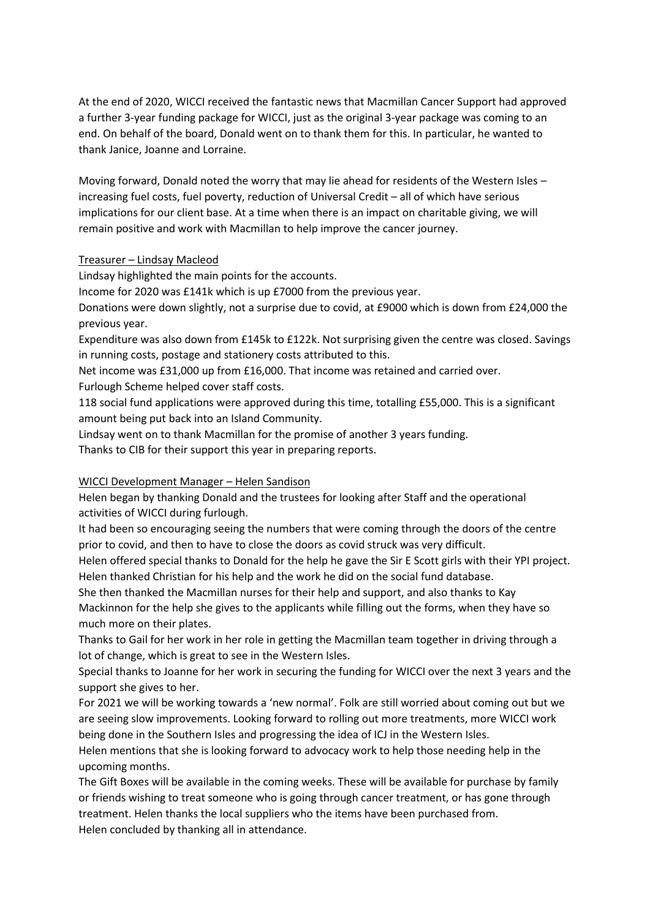At the end of 2020, WICCI received the fantastic news that Macmillan Cancer Support had approved a further 3-year funding package for WICCI, just as the original 3-year package was coming to an end. On behalf of the board, Donald went on to thank them for this. In particular, he wanted to thank Janice, Joanne and Lorraine.

Moving forward, Donald noted the worry that may lie ahead for residents of the Western Isles – increasing fuel costs, fuel poverty, reduction of Universal Credit – all of which have serious implications for our client base. At a time when there is an impact on charitable giving, we will remain positive and work with Macmillan to help improve the cancer journey.

#### Treasurer – Lindsay Macleod

Lindsay highlighted the main points for the accounts.

Income for 2020 was £141k which is up £7000 from the previous year.

Donations were down slightly, not a surprise due to covid, at £9000 which is down from £24,000 the previous year.

Expenditure was also down from £145k to £122k. Not surprising given the centre was closed. Savings in running costs, postage and stationery costs attributed to this.

Net income was £31,000 up from £16,000. That income was retained and carried over. Furlough Scheme helped cover staff costs.

118 social fund applications were approved during this time, totalling £55,000. This is a significant amount being put back into an Island Community.

Lindsay went on to thank Macmillan for the promise of another 3 years funding.

Thanks to CIB for their support this year in preparing reports.

## WICCI Development Manager – Helen Sandison

Helen began by thanking Donald and the trustees for looking after Staff and the operational activities of WICCI during furlough.

It had been so encouraging seeing the numbers that were coming through the doors of the centre prior to covid, and then to have to close the doors as covid struck was very difficult.

Helen offered special thanks to Donald for the help he gave the Sir E Scott girls with their YPI project. Helen thanked Christian for his help and the work he did on the social fund database.

She then thanked the Macmillan nurses for their help and support, and also thanks to Kay Mackinnon for the help she gives to the applicants while filling out the forms, when they have so much more on their plates.

Thanks to Gail for her work in her role in getting the Macmillan team together in driving through a lot of change, which is great to see in the Western Isles.

Special thanks to Joanne for her work in securing the funding for WICCI over the next 3 years and the support she gives to her.

For 2021 we will be working towards a 'new normal'. Folk are still worried about coming out but we are seeing slow improvements. Looking forward to rolling out more treatments, more WICCI work being done in the Southern Isles and progressing the idea of ICJ in the Western Isles.

Helen mentions that she is looking forward to advocacy work to help those needing help in the upcoming months.

The Gift Boxes will be available in the coming weeks. These will be available for purchase by family or friends wishing to treat someone who is going through cancer treatment, or has gone through treatment. Helen thanks the local suppliers who the items have been purchased from. Helen concluded by thanking all in attendance.